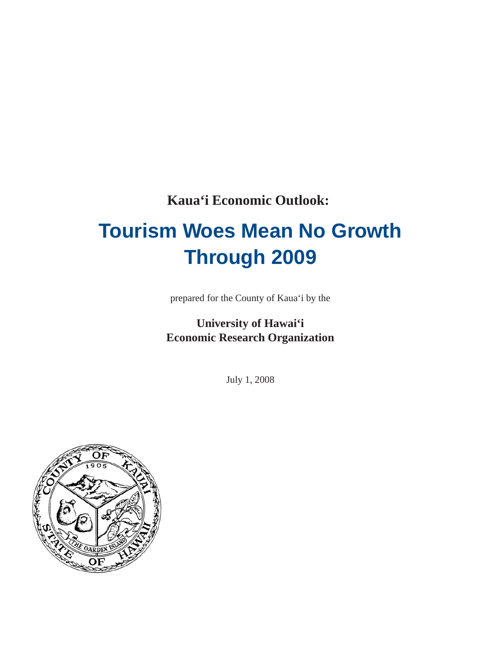**Kaua'i Economic Outlook:**

# **Tourism Woes Mean No Growth Through 2009**

prepared for the County of Kaua'i by the

## **University of Hawai'i Economic Research Organization**

July 1, 2008

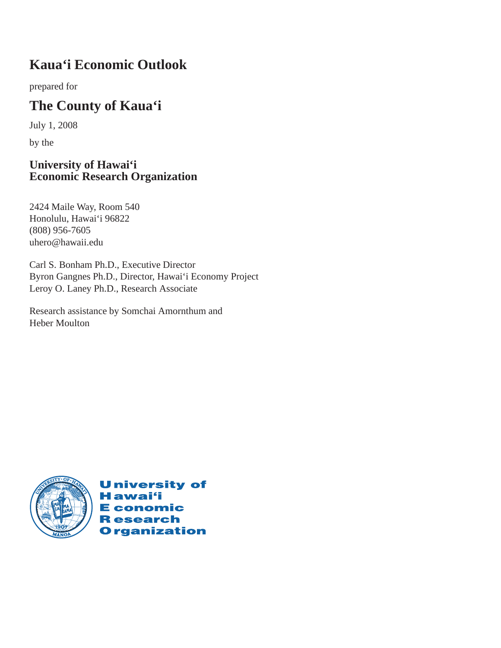# **Kaua'i Economic Outlook**

prepared for

# **The County of Kaua'i**

July 1, 2008

by the

### **University of Hawai'i Economic Research Organization**

2424 Maile Way, Room 540 Honolulu, Hawai'i 96822 (808) 956-7605 uhero@hawaii.edu

Carl S. Bonham Ph.D., Executive Director Byron Gangnes Ph.D., Director, Hawai'i Economy Project Leroy O. Laney Ph.D., Research Associate

Research assistance by Somchai Amornthum and Heber Moulton



**University of Hawai**'i **E** conomic **Research Organization**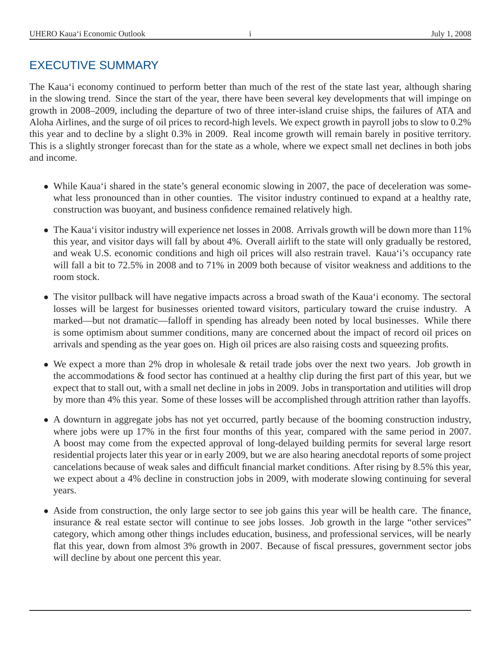## EXECUTIVE SUMMARY

The Kaua'i economy continued to perform better than much of the rest of the state last year, although sharing in the slowing trend. Since the start of the year, there have been several key developments that will impinge on growth in 2008–2009, including the departure of two of three inter-island cruise ships, the failures of ATA and Aloha Airlines, and the surge of oil prices to record-high levels. We expect growth in payroll jobs to slow to 0.2% this year and to decline by a slight 0.3% in 2009. Real income growth will remain barely in positive territory. This is a slightly stronger forecast than for the state as a whole, where we expect small net declines in both jobs and income.

- While Kaua'i shared in the state's general economic slowing in 2007, the pace of deceleration was somewhat less pronounced than in other counties. The visitor industry continued to expand at a healthy rate, construction was buoyant, and business confidence remained relatively high.
- The Kaua'i visitor industry will experience net losses in 2008. Arrivals growth will be down more than 11% this year, and visitor days will fall by about 4%. Overall airlift to the state will only gradually be restored, and weak U.S. economic conditions and high oil prices will also restrain travel. Kaua'i's occupancy rate will fall a bit to 72.5% in 2008 and to 71% in 2009 both because of visitor weakness and additions to the room stock.
- The visitor pullback will have negative impacts across a broad swath of the Kaua'i economy. The sectoral losses will be largest for businesses oriented toward visitors, particulary toward the cruise industry. A marked—but not dramatic—falloff in spending has already been noted by local businesses. While there is some optimism about summer conditions, many are concerned about the impact of record oil prices on arrivals and spending as the year goes on. High oil prices are also raising costs and squeezing profits.
- We expect a more than 2% drop in wholesale & retail trade jobs over the next two years. Job growth in the accommodations  $\&$  food sector has continued at a healthy clip during the first part of this year, but we expect that to stall out, with a small net decline in jobs in 2009. Jobs in transportation and utilities will drop by more than 4% this year. Some of these losses will be accomplished through attrition rather than layoffs.
- A downturn in aggregate jobs has not yet occurred, partly because of the booming construction industry, where jobs were up 17% in the first four months of this year, compared with the same period in 2007. A boost may come from the expected approval of long-delayed building permits for several large resort residential projects later this year or in early 2009, but we are also hearing anecdotal reports of some project cancelations because of weak sales and difficult financial market conditions. After rising by 8.5% this year, we expect about a 4% decline in construction jobs in 2009, with moderate slowing continuing for several years.
- Aside from construction, the only large sector to see job gains this year will be health care. The finance, insurance & real estate sector will continue to see jobs losses. Job growth in the large "other services" category, which among other things includes education, business, and professional services, will be nearly flat this year, down from almost 3% growth in 2007. Because of fiscal pressures, government sector jobs will decline by about one percent this year.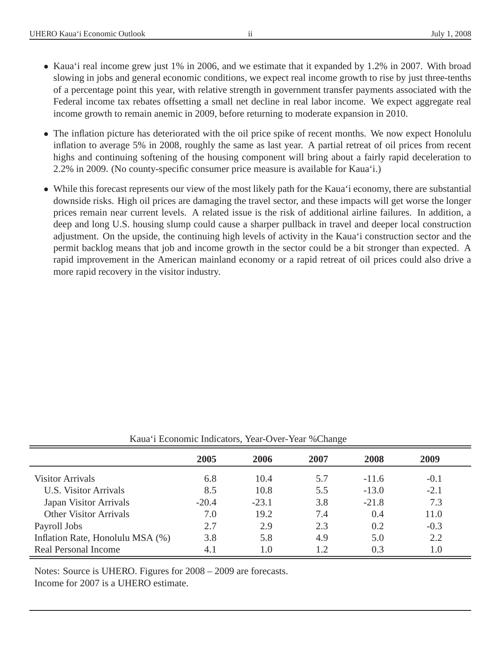- Kaua'i real income grew just 1% in 2006, and we estimate that it expanded by 1.2% in 2007. With broad slowing in jobs and general economic conditions, we expect real income growth to rise by just three-tenths of a percentage point this year, with relative strength in government transfer payments associated with the Federal income tax rebates offsetting a small net decline in real labor income. We expect aggregate real income growth to remain anemic in 2009, before returning to moderate expansion in 2010.
- The inflation picture has deteriorated with the oil price spike of recent months. We now expect Honolulu inflation to average 5% in 2008, roughly the same as last year. A partial retreat of oil prices from recent highs and continuing softening of the housing component will bring about a fairly rapid deceleration to 2.2% in 2009. (No county-specific consumer price measure is available for Kaua'i.)
- While this forecast represents our view of the most likely path for the Kaua'i economy, there are substantial downside risks. High oil prices are damaging the travel sector, and these impacts will get worse the longer prices remain near current levels. A related issue is the risk of additional airline failures. In addition, a deep and long U.S. housing slump could cause a sharper pullback in travel and deeper local construction adjustment. On the upside, the continuing high levels of activity in the Kaua'i construction sector and the permit backlog means that job and income growth in the sector could be a bit stronger than expected. A rapid improvement in the American mainland economy or a rapid retreat of oil prices could also drive a more rapid recovery in the visitor industry.

|                                  | 2005    | 2006    | 2007       | 2008    | 2009   |
|----------------------------------|---------|---------|------------|---------|--------|
| <b>Visitor Arrivals</b>          | 6.8     | 10.4    | 5.7        | $-11.6$ | $-0.1$ |
| <b>U.S. Visitor Arrivals</b>     | 8.5     | 10.8    | 5.5        | $-13.0$ | $-2.1$ |
| Japan Visitor Arrivals           | $-20.4$ | $-23.1$ | 3.8        | $-21.8$ | 7.3    |
| <b>Other Visitor Arrivals</b>    | 7.0     | 19.2    | 7.4        | 0.4     | 11.0   |
| Payroll Jobs                     | 2.7     | 2.9     | 2.3        | 0.2     | $-0.3$ |
| Inflation Rate, Honolulu MSA (%) | 3.8     | 5.8     | 4.9        | 5.0     | 2.2    |
| Real Personal Income             | 4.1     | 1.0     | $\sqrt{2}$ | 0.3     | 1.0    |

Kaua'i Economic Indicators, Year-Over-Year %Change

Notes: Source is UHERO. Figures for 2008 – 2009 are forecasts. Income for 2007 is a UHERO estimate.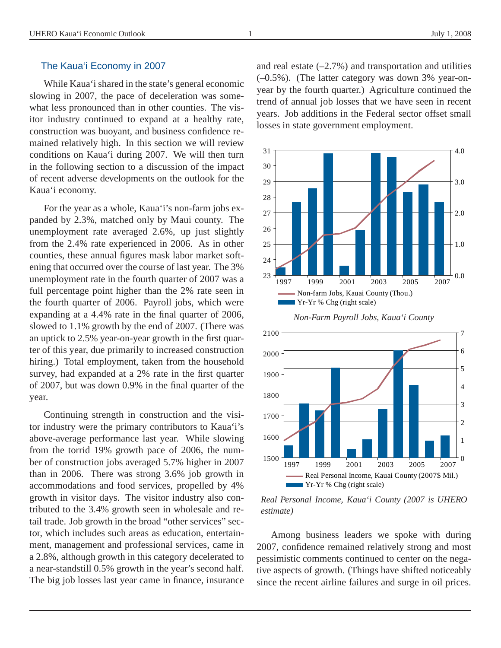#### The Kaua'i Economy in 2007

While Kaua'i shared in the state's general economic slowing in 2007, the pace of deceleration was somewhat less pronounced than in other counties. The visitor industry continued to expand at a healthy rate, construction was buoyant, and business confidence remained relatively high. In this section we will review conditions on Kaua'i during 2007. We will then turn in the following section to a discussion of the impact of recent adverse developments on the outlook for the Kaua'i economy.

For the year as a whole, Kaua'i's non-farm jobs expanded by 2.3%, matched only by Maui county. The unemployment rate averaged 2.6%, up just slightly from the 2.4% rate experienced in 2006. As in other counties, these annual figures mask labor market softening that occurred over the course of last year. The 3% unemployment rate in the fourth quarter of 2007 was a full percentage point higher than the 2% rate seen in the fourth quarter of 2006. Payroll jobs, which were expanding at a 4.4% rate in the final quarter of 2006, slowed to 1.1% growth by the end of 2007. (There was an uptick to 2.5% year-on-year growth in the first quarter of this year, due primarily to increased construction hiring.) Total employment, taken from the household survey, had expanded at a 2% rate in the first quarter of 2007, but was down 0.9% in the final quarter of the year.

Continuing strength in construction and the visitor industry were the primary contributors to Kaua'i's above-average performance last year. While slowing from the torrid 19% growth pace of 2006, the number of construction jobs averaged 5.7% higher in 2007 than in 2006. There was strong 3.6% job growth in accommodations and food services, propelled by 4% growth in visitor days. The visitor industry also contributed to the 3.4% growth seen in wholesale and retail trade. Job growth in the broad "other services" sector, which includes such areas as education, entertainment, management and professional services, came in a 2.8%, although growth in this category decelerated to a near-standstill 0.5% growth in the year's second half. The big job losses last year came in finance, insurance and real estate  $(-2.7%)$  and transportation and utilities (–0.5%). (The latter category was down 3% year-onyear by the fourth quarter.) Agriculture continued the trend of annual job losses that we have seen in recent years. Job additions in the Federal sector offset small losses in state government employment.







*Real Personal Income, Kaua'i County (2007 is UHERO estimate)*

Among business leaders we spoke with during 2007, confidence remained relatively strong and most pessimistic comments continued to center on the negative aspects of growth. (Things have shifted noticeably since the recent airline failures and surge in oil prices.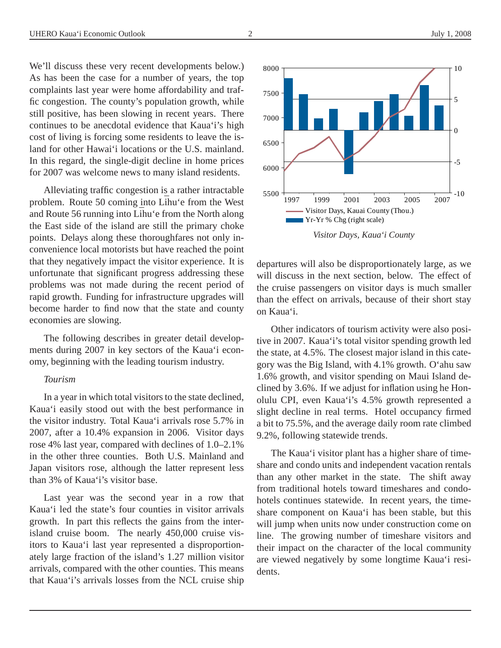We'll discuss these very recent developments below.) As has been the case for a number of years, the top complaints last year were home affordability and traffic congestion. The county's population growth, while still positive, has been slowing in recent years. There continues to be anecdotal evidence that Kaua'i's high cost of living is forcing some residents to leave the island for other Hawai'i locations or the U.S. mainland. In this regard, the single-digit decline in home prices for 2007 was welcome news to many island residents.

Alleviating traffic congestion is a rather intractable problem. Route 50 coming into Lihu'e from the West and Route 56 running into Lihu'e from the North along the East side of the island are still the primary choke points. Delays along these thoroughfares not only inconvenience local motorists but have reached the point that they negatively impact the visitor experience. It is unfortunate that significant progress addressing these problems was not made during the recent period of rapid growth. Funding for infrastructure upgrades will become harder to find now that the state and county economies are slowing.

The following describes in greater detail developments during 2007 in key sectors of the Kaua'i economy, beginning with the leading tourism industry.

#### *Tourism*

In a year in which total visitors to the state declined, Kaua'i easily stood out with the best performance in the visitor industry. Total Kaua'i arrivals rose 5.7% in 2007, after a 10.4% expansion in 2006. Visitor days rose 4% last year, compared with declines of 1.0–2.1% in the other three counties. Both U.S. Mainland and Japan visitors rose, although the latter represent less than 3% of Kaua'i's visitor base.

Last year was the second year in a row that Kaua'i led the state's four counties in visitor arrivals growth. In part this reflects the gains from the interisland cruise boom. The nearly 450,000 cruise visitors to Kaua'i last year represented a disproportionately large fraction of the island's 1.27 million visitor arrivals, compared with the other counties. This means that Kaua'i's arrivals losses from the NCL cruise ship



Other indicators of tourism activity were also positive in 2007. Kaua'i's total visitor spending growth led the state, at 4.5%. The closest major island in this category was the Big Island, with 4.1% growth. O'ahu saw 1.6% growth, and visitor spending on Maui Island declined by 3.6%. If we adjust for inflation using he Honolulu CPI, even Kaua'i's 4.5% growth represented a slight decline in real terms. Hotel occupancy firmed a bit to 75.5%, and the average daily room rate climbed 9.2%, following statewide trends.

The Kaua'i visitor plant has a higher share of timeshare and condo units and independent vacation rentals than any other market in the state. The shift away from traditional hotels toward timeshares and condohotels continues statewide. In recent years, the timeshare component on Kaua'i has been stable, but this will jump when units now under construction come on line. The growing number of timeshare visitors and their impact on the character of the local community are viewed negatively by some longtime Kaua'i residents.



*Visitor Days, Kaua'i County*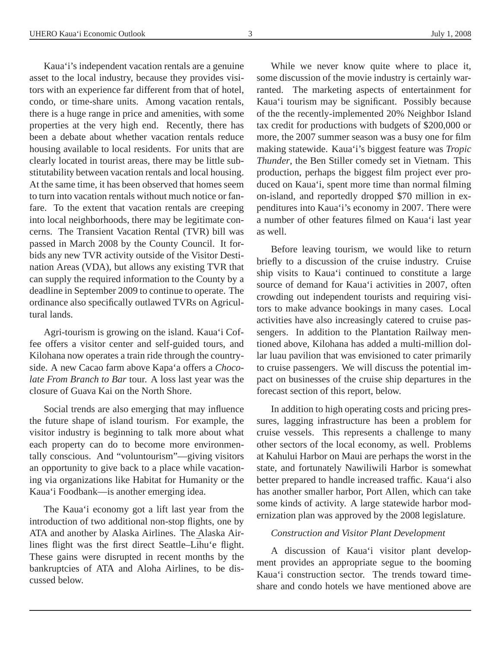Kaua'i's independent vacation rentals are a genuine asset to the local industry, because they provides visitors with an experience far different from that of hotel, condo, or time-share units. Among vacation rentals, there is a huge range in price and amenities, with some properties at the very high end. Recently, there has been a debate about whether vacation rentals reduce housing available to local residents. For units that are clearly located in tourist areas, there may be little substitutability between vacation rentals and local housing. At the same time, it has been observed that homes seem to turn into vacation rentals without much notice or fanfare. To the extent that vacation rentals are creeping into local neighborhoods, there may be legitimate concerns. The Transient Vacation Rental (TVR) bill was passed in March 2008 by the County Council. It forbids any new TVR activity outside of the Visitor Destination Areas (VDA), but allows any existing TVR that can supply the required information to the County by a deadline in September 2009 to continue to operate. The ordinance also specifically outlawed TVRs on Agricultural lands.

Agri-tourism is growing on the island. Kaua'i Coffee offers a visitor center and self-guided tours, and Kilohana now operates a train ride through the countryside. A new Cacao farm above Kapa'a offers a *Chocolate From Branch to Bar* tour. A loss last year was the closure of Guava Kai on the North Shore.

Social trends are also emerging that may influence the future shape of island tourism. For example, the visitor industry is beginning to talk more about what each property can do to become more environmentally conscious. And "voluntourism"—giving visitors an opportunity to give back to a place while vacationing via organizations like Habitat for Humanity or the Kaua'i Foodbank—is another emerging idea.

The Kaua'i economy got a lift last year from the introduction of two additional non-stop flights, one by ATA and another by Alaska Airlines. The Alaska Airlines flight was the first direct Seattle–Lihu'e flight. These gains were disrupted in recent months by the bankruptcies of ATA and Aloha Airlines, to be discussed below.

While we never know quite where to place it, some discussion of the movie industry is certainly warranted. The marketing aspects of entertainment for Kaua'i tourism may be significant. Possibly because of the the recently-implemented 20% Neighbor Island tax credit for productions with budgets of \$200,000 or more, the 2007 summer season was a busy one for film making statewide. Kaua'i's biggest feature was *Tropic Thunder*, the Ben Stiller comedy set in Vietnam. This production, perhaps the biggest film project ever produced on Kaua'i, spent more time than normal filming on-island, and reportedly dropped \$70 million in expenditures into Kaua'i's economy in 2007. There were a number of other features filmed on Kaua'i last year as well.

Before leaving tourism, we would like to return briefly to a discussion of the cruise industry. Cruise ship visits to Kaua'i continued to constitute a large source of demand for Kaua'i activities in 2007, often crowding out independent tourists and requiring visitors to make advance bookings in many cases. Local activities have also increasingly catered to cruise passengers. In addition to the Plantation Railway mentioned above, Kilohana has added a multi-million dollar luau pavilion that was envisioned to cater primarily to cruise passengers. We will discuss the potential impact on businesses of the cruise ship departures in the forecast section of this report, below.

In addition to high operating costs and pricing pressures, lagging infrastructure has been a problem for cruise vessels. This represents a challenge to many other sectors of the local economy, as well. Problems at Kahului Harbor on Maui are perhaps the worst in the state, and fortunately Nawiliwili Harbor is somewhat better prepared to handle increased traffic. Kaua'i also has another smaller harbor, Port Allen, which can take some kinds of activity. A large statewide harbor modernization plan was approved by the 2008 legislature.

#### *Construction and Visitor Plant Development*

A discussion of Kaua'i visitor plant development provides an appropriate segue to the booming Kaua'i construction sector. The trends toward timeshare and condo hotels we have mentioned above are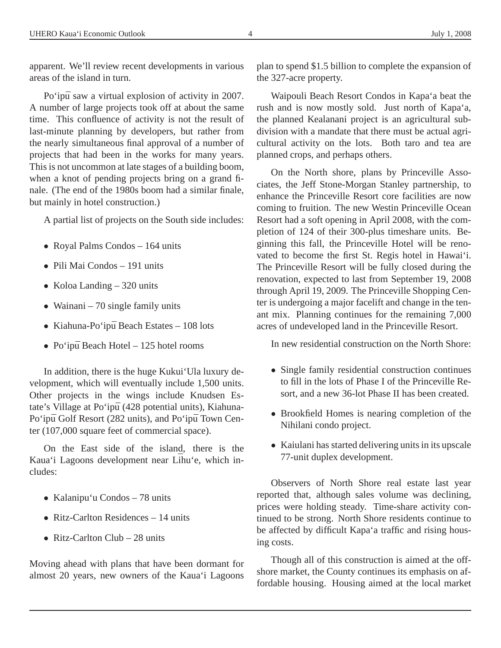apparent. We'll review recent developments in various areas of the island in turn.

Po'ipū saw a virtual explosion of activity in 2007. A number of large projects took off at about the same time. This confluence of activity is not the result of last-minute planning by developers, but rather from the nearly simultaneous final approval of a number of projects that had been in the works for many years. This is not uncommon at late stages of a building boom, when a knot of pending projects bring on a grand finale. (The end of the 1980s boom had a similar finale, but mainly in hotel construction.)

A partial list of projects on the South side includes:

- Royal Palms Condos 164 units
- Pili Mai Condos 191 units
- Koloa Landing 320 units
- Wainani 70 single family units
- Kiahuna-Po'ipū Beach Estates  $-108$  lots
- Po'ipū Beach Hotel  $125$  hotel rooms

In addition, there is the huge Kukui'Ula luxury development, which will eventually include 1,500 units. Other projects in the wings include Knudsen Estate's Village at Po'ipū (428 potential units), Kiahuna-Po'ipū Golf Resort (282 units), and Po'ipū Town Center (107,000 square feet of commercial space).

On the East side of the island, there is the Kaua'i Lagoons development near Lihu'e, which includes:

- Kalanipu'u Condos 78 units
- Ritz-Carlton Residences 14 units
- Ritz-Carlton Club  $-28$  units

Moving ahead with plans that have been dormant for almost 20 years, new owners of the Kaua'i Lagoons

plan to spend \$1.5 billion to complete the expansion of the 327-acre property.

Waipouli Beach Resort Condos in Kapa'a beat the rush and is now mostly sold. Just north of Kapa'a, the planned Kealanani project is an agricultural subdivision with a mandate that there must be actual agricultural activity on the lots. Both taro and tea are planned crops, and perhaps others.

On the North shore, plans by Princeville Associates, the Jeff Stone-Morgan Stanley partnership, to enhance the Princeville Resort core facilities are now coming to fruition. The new Westin Princeville Ocean Resort had a soft opening in April 2008, with the completion of 124 of their 300-plus timeshare units. Beginning this fall, the Princeville Hotel will be renovated to become the first St. Regis hotel in Hawai'i. The Princeville Resort will be fully closed during the renovation, expected to last from September 19, 2008 through April 19, 2009. The Princeville Shopping Center is undergoing a major facelift and change in the tenant mix. Planning continues for the remaining 7,000 acres of undeveloped land in the Princeville Resort.

In new residential construction on the North Shore:

- Single family residential construction continues to fill in the lots of Phase I of the Princeville Resort, and a new 36-lot Phase II has been created.
- Brookfield Homes is nearing completion of the Nihilani condo project.
- Kaiulani has started delivering units in its upscale 77-unit duplex development.

Observers of North Shore real estate last year reported that, although sales volume was declining, prices were holding steady. Time-share activity continued to be strong. North Shore residents continue to be affected by difficult Kapa'a traffic and rising housing costs.

Though all of this construction is aimed at the offshore market, the County continues its emphasis on affordable housing. Housing aimed at the local market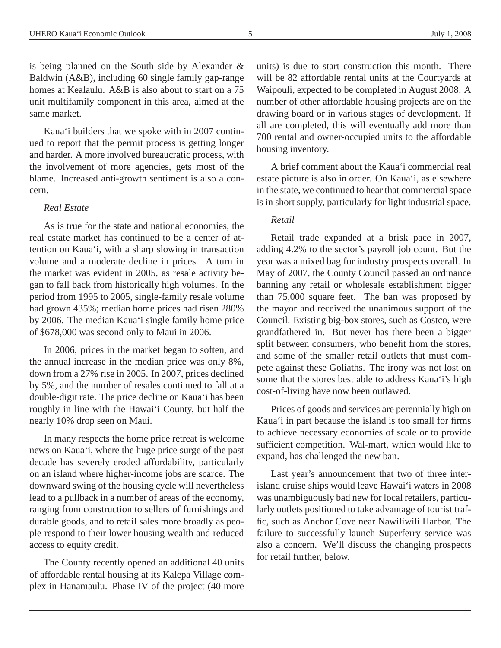is being planned on the South side by Alexander & Baldwin (A&B), including 60 single family gap-range homes at Kealaulu. A&B is also about to start on a 75 unit multifamily component in this area, aimed at the same market.

Kaua'i builders that we spoke with in 2007 continued to report that the permit process is getting longer and harder. A more involved bureaucratic process, with the involvement of more agencies, gets most of the blame. Increased anti-growth sentiment is also a concern.

#### *Real Estate*

As is true for the state and national economies, the real estate market has continued to be a center of attention on Kaua'i, with a sharp slowing in transaction volume and a moderate decline in prices. A turn in the market was evident in 2005, as resale activity began to fall back from historically high volumes. In the period from 1995 to 2005, single-family resale volume had grown 435%; median home prices had risen 280% by 2006. The median Kaua'i single family home price of \$678,000 was second only to Maui in 2006.

In 2006, prices in the market began to soften, and the annual increase in the median price was only 8%, down from a 27% rise in 2005. In 2007, prices declined by 5%, and the number of resales continued to fall at a double-digit rate. The price decline on Kaua'i has been roughly in line with the Hawai'i County, but half the nearly 10% drop seen on Maui.

In many respects the home price retreat is welcome news on Kaua'i, where the huge price surge of the past decade has severely eroded affordability, particularly on an island where higher-income jobs are scarce. The downward swing of the housing cycle will nevertheless lead to a pullback in a number of areas of the economy, ranging from construction to sellers of furnishings and durable goods, and to retail sales more broadly as people respond to their lower housing wealth and reduced access to equity credit.

The County recently opened an additional 40 units of affordable rental housing at its Kalepa Village complex in Hanamaulu. Phase IV of the project (40 more

units) is due to start construction this month. There will be 82 affordable rental units at the Courtyards at Waipouli, expected to be completed in August 2008. A number of other affordable housing projects are on the drawing board or in various stages of development. If all are completed, this will eventually add more than 700 rental and owner-occupied units to the affordable housing inventory.

A brief comment about the Kaua'i commercial real estate picture is also in order. On Kaua'i, as elsewhere in the state, we continued to hear that commercial space is in short supply, particularly for light industrial space.

#### *Retail*

Retail trade expanded at a brisk pace in 2007, adding 4.2% to the sector's payroll job count. But the year was a mixed bag for industry prospects overall. In May of 2007, the County Council passed an ordinance banning any retail or wholesale establishment bigger than 75,000 square feet. The ban was proposed by the mayor and received the unanimous support of the Council. Existing big-box stores, such as Costco, were grandfathered in. But never has there been a bigger split between consumers, who benefit from the stores, and some of the smaller retail outlets that must compete against these Goliaths. The irony was not lost on some that the stores best able to address Kaua'i's high cost-of-living have now been outlawed.

Prices of goods and services are perennially high on Kaua'i in part because the island is too small for firms to achieve necessary economies of scale or to provide sufficient competition. Wal-mart, which would like to expand, has challenged the new ban.

Last year's announcement that two of three interisland cruise ships would leave Hawai'i waters in 2008 was unambiguously bad new for local retailers, particularly outlets positioned to take advantage of tourist traffic, such as Anchor Cove near Nawiliwili Harbor. The failure to successfully launch Superferry service was also a concern. We'll discuss the changing prospects for retail further, below.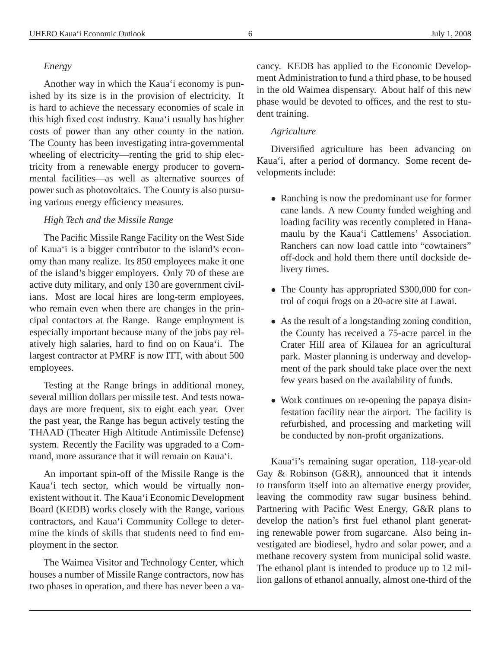#### *Energy*

Another way in which the Kaua'i economy is punished by its size is in the provision of electricity. It is hard to achieve the necessary economies of scale in this high fixed cost industry. Kaua'i usually has higher costs of power than any other county in the nation. The County has been investigating intra-governmental wheeling of electricity—renting the grid to ship electricity from a renewable energy producer to governmental facilities—as well as alternative sources of power such as photovoltaics. The County is also pursuing various energy efficiency measures.

#### *High Tech and the Missile Range*

The Pacific Missile Range Facility on the West Side of Kaua'i is a bigger contributor to the island's economy than many realize. Its 850 employees make it one of the island's bigger employers. Only 70 of these are active duty military, and only 130 are government civilians. Most are local hires are long-term employees, who remain even when there are changes in the principal contactors at the Range. Range employment is especially important because many of the jobs pay relatively high salaries, hard to find on on Kaua'i. The largest contractor at PMRF is now ITT, with about 500 employees.

Testing at the Range brings in additional money, several million dollars per missile test. And tests nowadays are more frequent, six to eight each year. Over the past year, the Range has begun actively testing the THAAD (Theater High Altitude Antimissile Defense) system. Recently the Facility was upgraded to a Command, more assurance that it will remain on Kaua'i.

An important spin-off of the Missile Range is the Kaua'i tech sector, which would be virtually nonexistent without it. The Kaua'i Economic Development Board (KEDB) works closely with the Range, various contractors, and Kaua'i Community College to determine the kinds of skills that students need to find employment in the sector.

The Waimea Visitor and Technology Center, which houses a number of Missile Range contractors, now has two phases in operation, and there has never been a vacancy. KEDB has applied to the Economic Development Administration to fund a third phase, to be housed in the old Waimea dispensary. About half of this new phase would be devoted to offices, and the rest to student training.

#### *Agriculture*

Diversified agriculture has been advancing on Kaua'i, after a period of dormancy. Some recent developments include:

- Ranching is now the predominant use for former cane lands. A new County funded weighing and loading facility was recently completed in Hanamaulu by the Kaua'i Cattlemens' Association. Ranchers can now load cattle into "cowtainers" off-dock and hold them there until dockside delivery times.
- The County has appropriated \$300,000 for control of coqui frogs on a 20-acre site at Lawai.
- As the result of a longstanding zoning condition, the County has received a 75-acre parcel in the Crater Hill area of Kilauea for an agricultural park. Master planning is underway and development of the park should take place over the next few years based on the availability of funds.
- Work continues on re-opening the papaya disinfestation facility near the airport. The facility is refurbished, and processing and marketing will be conducted by non-profit organizations.

Kaua'i's remaining sugar operation, 118-year-old Gay & Robinson (G&R), announced that it intends to transform itself into an alternative energy provider, leaving the commodity raw sugar business behind. Partnering with Pacific West Energy, G&R plans to develop the nation's first fuel ethanol plant generating renewable power from sugarcane. Also being investigated are biodiesel, hydro and solar power, and a methane recovery system from municipal solid waste. The ethanol plant is intended to produce up to 12 million gallons of ethanol annually, almost one-third of the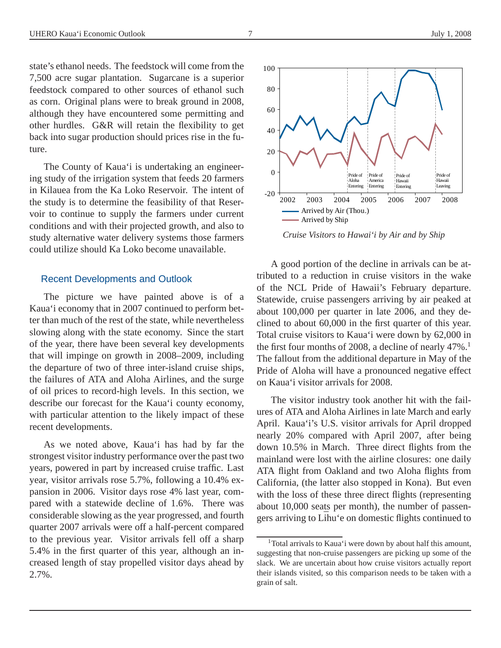state's ethanol needs. The feedstock will come from the 7,500 acre sugar plantation. Sugarcane is a superior feedstock compared to other sources of ethanol such as corn. Original plans were to break ground in 2008, although they have encountered some permitting and other hurdles. G&R will retain the flexibility to get back into sugar production should prices rise in the future.

The County of Kaua'i is undertaking an engineering study of the irrigation system that feeds 20 farmers in Kilauea from the Ka Loko Reservoir. The intent of the study is to determine the feasibility of that Reservoir to continue to supply the farmers under current conditions and with their projected growth, and also to study alternative water delivery systems those farmers could utilize should Ka Loko become unavailable.

#### Recent Developments and Outlook

The picture we have painted above is of a Kaua'i economy that in 2007 continued to perform better than much of the rest of the state, while nevertheless slowing along with the state economy. Since the start of the year, there have been several key developments that will impinge on growth in 2008–2009, including the departure of two of three inter-island cruise ships, the failures of ATA and Aloha Airlines, and the surge of oil prices to record-high levels. In this section, we describe our forecast for the Kaua'i county economy, with particular attention to the likely impact of these recent developments.

As we noted above, Kaua'i has had by far the strongest visitor industry performance over the past two years, powered in part by increased cruise traffic. Last year, visitor arrivals rose 5.7%, following a 10.4% expansion in 2006. Visitor days rose 4% last year, compared with a statewide decline of 1.6%. There was considerable slowing as the year progressed, and fourth quarter 2007 arrivals were off a half-percent compared to the previous year. Visitor arrivals fell off a sharp 5.4% in the first quarter of this year, although an increased length of stay propelled visitor days ahead by 2.7%.

A good portion of the decline in arrivals can be attributed to a reduction in cruise visitors in the wake of the NCL Pride of Hawaii's February departure. Statewide, cruise passengers arriving by air peaked at about 100,000 per quarter in late 2006, and they declined to about 60,000 in the first quarter of this year. Total cruise visitors to Kaua'i were down by 62,000 in the first four months of 2008, a decline of nearly  $47\%$ .<sup>1</sup> The fallout from the additional departure in May of the Pride of Aloha will have a pronounced negative effect on Kaua'i visitor arrivals for 2008.

The visitor industry took another hit with the failures of ATA and Aloha Airlines in late March and early April. Kaua'i's U.S. visitor arrivals for April dropped nearly 20% compared with April 2007, after being down 10.5% in March. Three direct flights from the mainland were lost with the airline closures: one daily ATA flight from Oakland and two Aloha flights from California, (the latter also stopped in Kona). But even with the loss of these three direct flights (representing about 10,000 seats per month), the number of passengers arriving to Lihu'e on domestic flights continued to



*Cruise Visitors to Hawai'i by Air and by Ship*

<sup>1</sup>Total arrivals to Kaua'i were down by about half this amount, suggesting that non-cruise passengers are picking up some of the slack. We are uncertain about how cruise visitors actually report their islands visited, so this comparison needs to be taken with a grain of salt.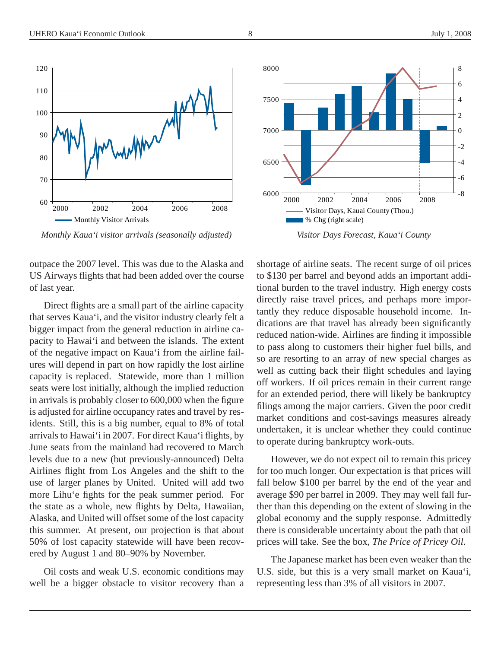

outpace the 2007 level. This was due to the Alaska and US Airways flights that had been added over the course of last year.

Direct flights are a small part of the airline capacity that serves Kaua'i, and the visitor industry clearly felt a bigger impact from the general reduction in airline capacity to Hawai'i and between the islands. The extent of the negative impact on Kaua'i from the airline failures will depend in part on how rapidly the lost airline capacity is replaced. Statewide, more than 1 million seats were lost initially, although the implied reduction in arrivals is probably closer to 600,000 when the figure is adjusted for airline occupancy rates and travel by residents. Still, this is a big number, equal to 8% of total arrivals to Hawai'i in 2007. For direct Kaua'i flights, by June seats from the mainland had recovered to March levels due to a new (but previously-announced) Delta Airlines flight from Los Angeles and the shift to the use of larger planes by United. United will add two more Lihu'e fights for the peak summer period. For the state as a whole, new flights by Delta, Hawaiian, Alaska, and United will offset some of the lost capacity this summer. At present, our projection is that about 50% of lost capacity statewide will have been recovered by August 1 and 80–90% by November.

Oil costs and weak U.S. economic conditions may well be a bigger obstacle to visitor recovery than a

shortage of airline seats. The recent surge of oil prices to \$130 per barrel and beyond adds an important additional burden to the travel industry. High energy costs directly raise travel prices, and perhaps more importantly they reduce disposable household income. Indications are that travel has already been significantly reduced nation-wide. Airlines are finding it impossible to pass along to customers their higher fuel bills, and so are resorting to an array of new special charges as well as cutting back their flight schedules and laying off workers. If oil prices remain in their current range for an extended period, there will likely be bankruptcy filings among the major carriers. Given the poor credit market conditions and cost-savings measures already undertaken, it is unclear whether they could continue to operate during bankruptcy work-outs.

However, we do not expect oil to remain this pricey for too much longer. Our expectation is that prices will fall below \$100 per barrel by the end of the year and average \$90 per barrel in 2009. They may well fall further than this depending on the extent of slowing in the global economy and the supply response. Admittedly there is considerable uncertainty about the path that oil prices will take. See the box, *The Price of Pricey Oil*.

The Japanese market has been even weaker than the U.S. side, but this is a very small market on Kaua'i, representing less than 3% of all visitors in 2007.



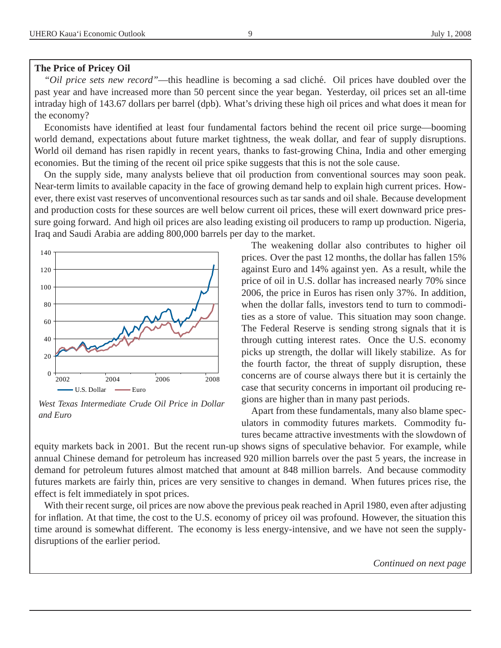#### **The Price of Pricey Oil**

*"Oil price sets new record"*—this headline is becoming a sad cliché. Oil prices have doubled over the past year and have increased more than 50 percent since the year began. Yesterday, oil prices set an all-time intraday high of 143.67 dollars per barrel (dpb). What's driving these high oil prices and what does it mean for the economy?

Economists have identified at least four fundamental factors behind the recent oil price surge—booming world demand, expectations about future market tightness, the weak dollar, and fear of supply disruptions. World oil demand has risen rapidly in recent years, thanks to fast-growing China, India and other emerging economies. But the timing of the recent oil price spike suggests that this is not the sole cause.

On the supply side, many analysts believe that oil production from conventional sources may soon peak. Near-term limits to available capacity in the face of growing demand help to explain high current prices. However, there exist vast reserves of unconventional resources such as tar sands and oil shale. Because development and production costs for these sources are well below current oil prices, these will exert downward price pressure going forward. And high oil prices are also leading existing oil producers to ramp up production. Nigeria, Iraq and Saudi Arabia are adding 800,000 barrels per day to the market.



*West Texas Intermediate Crude Oil Price in Dollar and Euro*

The weakening dollar also contributes to higher oil prices. Over the past 12 months, the dollar has fallen 15% against Euro and 14% against yen. As a result, while the price of oil in U.S. dollar has increased nearly 70% since 2006, the price in Euros has risen only 37%. In addition, when the dollar falls, investors tend to turn to commodities as a store of value. This situation may soon change. The Federal Reserve is sending strong signals that it is through cutting interest rates. Once the U.S. economy picks up strength, the dollar will likely stabilize. As for the fourth factor, the threat of supply disruption, these concerns are of course always there but it is certainly the case that security concerns in important oil producing regions are higher than in many past periods.

Apart from these fundamentals, many also blame speculators in commodity futures markets. Commodity futures became attractive investments with the slowdown of

equity markets back in 2001. But the recent run-up shows signs of speculative behavior. For example, while annual Chinese demand for petroleum has increased 920 million barrels over the past 5 years, the increase in demand for petroleum futures almost matched that amount at 848 million barrels. And because commodity futures markets are fairly thin, prices are very sensitive to changes in demand. When futures prices rise, the effect is felt immediately in spot prices.

With their recent surge, oil prices are now above the previous peak reached in April 1980, even after adjusting for inflation. At that time, the cost to the U.S. economy of pricey oil was profound. However, the situation this time around is somewhat different. The economy is less energy-intensive, and we have not seen the supplydisruptions of the earlier period.

*Continued on next page*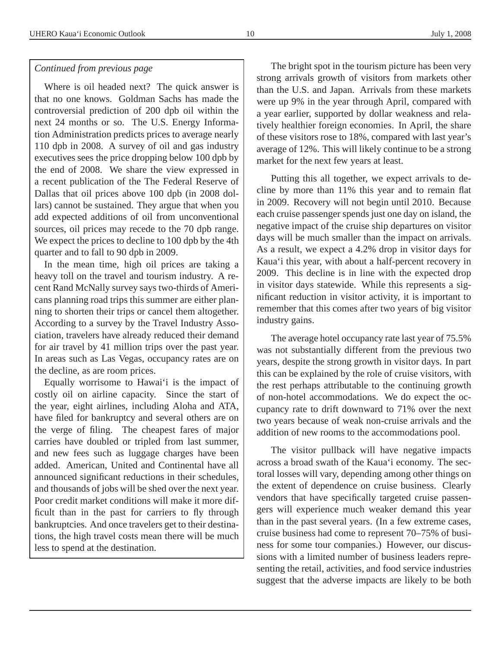#### *Continued from previous page*

Where is oil headed next? The quick answer is that no one knows. Goldman Sachs has made the controversial prediction of 200 dpb oil within the next 24 months or so. The U.S. Energy Information Administration predicts prices to average nearly 110 dpb in 2008. A survey of oil and gas industry executives sees the price dropping below 100 dpb by the end of 2008. We share the view expressed in a recent publication of the The Federal Reserve of Dallas that oil prices above 100 dpb (in 2008 dollars) cannot be sustained. They argue that when you add expected additions of oil from unconventional sources, oil prices may recede to the 70 dpb range. We expect the prices to decline to 100 dpb by the 4th quarter and to fall to 90 dpb in 2009.

In the mean time, high oil prices are taking a heavy toll on the travel and tourism industry. A recent Rand McNally survey says two-thirds of Americans planning road trips this summer are either planning to shorten their trips or cancel them altogether. According to a survey by the Travel Industry Association, travelers have already reduced their demand for air travel by 41 million trips over the past year. In areas such as Las Vegas, occupancy rates are on the decline, as are room prices.

Equally worrisome to Hawai'i is the impact of costly oil on airline capacity. Since the start of the year, eight airlines, including Aloha and ATA, have filed for bankruptcy and several others are on the verge of filing. The cheapest fares of major carries have doubled or tripled from last summer, and new fees such as luggage charges have been added. American, United and Continental have all announced significant reductions in their schedules, and thousands of jobs will be shed over the next year. Poor credit market conditions will make it more difficult than in the past for carriers to fly through bankruptcies. And once travelers get to their destinations, the high travel costs mean there will be much less to spend at the destination.

The bright spot in the tourism picture has been very strong arrivals growth of visitors from markets other than the U.S. and Japan. Arrivals from these markets were up 9% in the year through April, compared with a year earlier, supported by dollar weakness and relatively healthier foreign economies. In April, the share of these visitors rose to 18%, compared with last year's average of 12%. This will likely continue to be a strong market for the next few years at least.

Putting this all together, we expect arrivals to decline by more than 11% this year and to remain flat in 2009. Recovery will not begin until 2010. Because each cruise passenger spends just one day on island, the negative impact of the cruise ship departures on visitor days will be much smaller than the impact on arrivals. As a result, we expect a 4.2% drop in visitor days for Kaua'i this year, with about a half-percent recovery in 2009. This decline is in line with the expected drop in visitor days statewide. While this represents a significant reduction in visitor activity, it is important to remember that this comes after two years of big visitor industry gains.

The average hotel occupancy rate last year of 75.5% was not substantially different from the previous two years, despite the strong growth in visitor days. In part this can be explained by the role of cruise visitors, with the rest perhaps attributable to the continuing growth of non-hotel accommodations. We do expect the occupancy rate to drift downward to 71% over the next two years because of weak non-cruise arrivals and the addition of new rooms to the accommodations pool.

The visitor pullback will have negative impacts across a broad swath of the Kaua'i economy. The sectoral losses will vary, depending among other things on the extent of dependence on cruise business. Clearly vendors that have specifically targeted cruise passengers will experience much weaker demand this year than in the past several years. (In a few extreme cases, cruise business had come to represent 70–75% of business for some tour companies.) However, our discussions with a limited number of business leaders representing the retail, activities, and food service industries suggest that the adverse impacts are likely to be both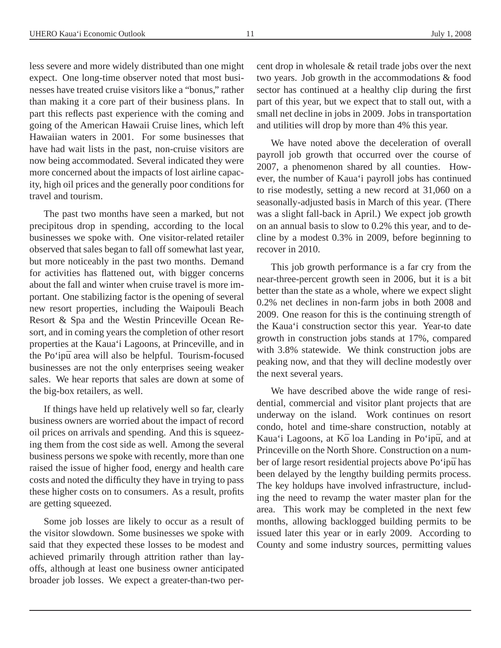less severe and more widely distributed than one might expect. One long-time observer noted that most businesses have treated cruise visitors like a "bonus," rather than making it a core part of their business plans. In part this reflects past experience with the coming and going of the American Hawaii Cruise lines, which left Hawaiian waters in 2001. For some businesses that have had wait lists in the past, non-cruise visitors are now being accommodated. Several indicated they were more concerned about the impacts of lost airline capacity, high oil prices and the generally poor conditions for travel and tourism.

The past two months have seen a marked, but not precipitous drop in spending, according to the local businesses we spoke with. One visitor-related retailer observed that sales began to fall off somewhat last year, but more noticeably in the past two months. Demand for activities has flattened out, with bigger concerns about the fall and winter when cruise travel is more important. One stabilizing factor is the opening of several new resort properties, including the Waipouli Beach Resort & Spa and the Westin Princeville Ocean Resort, and in coming years the completion of other resort properties at the Kaua'i Lagoons, at Princeville, and in the Po'ipū area will also be helpful. Tourism-focused businesses are not the only enterprises seeing weaker sales. We hear reports that sales are down at some of the big-box retailers, as well.

If things have held up relatively well so far, clearly business owners are worried about the impact of record oil prices on arrivals and spending. And this is squeezing them from the cost side as well. Among the several business persons we spoke with recently, more than one raised the issue of higher food, energy and health care costs and noted the difficulty they have in trying to pass these higher costs on to consumers. As a result, profits are getting squeezed.

Some job losses are likely to occur as a result of the visitor slowdown. Some businesses we spoke with said that they expected these losses to be modest and achieved primarily through attrition rather than layoffs, although at least one business owner anticipated broader job losses. We expect a greater-than-two percent drop in wholesale & retail trade jobs over the next two years. Job growth in the accommodations & food sector has continued at a healthy clip during the first part of this year, but we expect that to stall out, with a small net decline in jobs in 2009. Jobs in transportation and utilities will drop by more than 4% this year.

We have noted above the deceleration of overall payroll job growth that occurred over the course of 2007, a phenomenon shared by all counties. However, the number of Kaua'i payroll jobs has continued to rise modestly, setting a new record at 31,060 on a seasonally-adjusted basis in March of this year. (There was a slight fall-back in April.) We expect job growth on an annual basis to slow to 0.2% this year, and to decline by a modest 0.3% in 2009, before beginning to recover in 2010.

This job growth performance is a far cry from the near-three-percent growth seen in 2006, but it is a bit better than the state as a whole, where we expect slight 0.2% net declines in non-farm jobs in both 2008 and 2009. One reason for this is the continuing strength of the Kaua'i construction sector this year. Year-to date growth in construction jobs stands at 17%, compared with 3.8% statewide. We think construction jobs are peaking now, and that they will decline modestly over the next several years.

We have described above the wide range of residential, commercial and visitor plant projects that are underway on the island. Work continues on resort condo, hotel and time-share construction, notably at Kaua'i Lagoons, at Kō loa Landing in Po'ipū, and at Princeville on the North Shore. Construction on a number of large resort residential projects above Po'ipū has been delayed by the lengthy building permits process. The key holdups have involved infrastructure, including the need to revamp the water master plan for the area. This work may be completed in the next few months, allowing backlogged building permits to be issued later this year or in early 2009. According to County and some industry sources, permitting values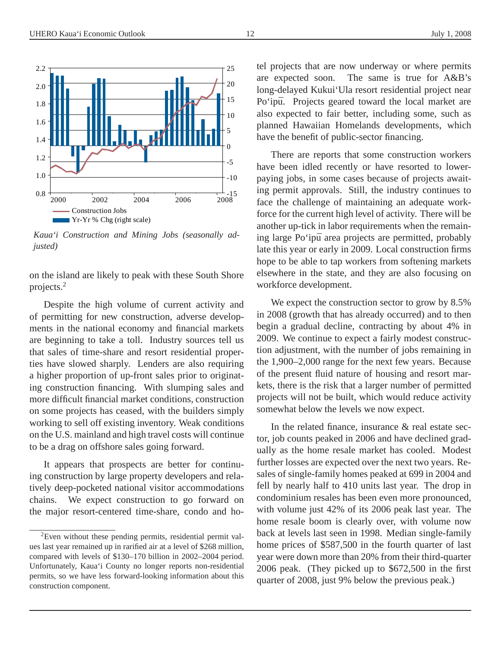

*Kaua'i Construction and Mining Jobs (seasonally adjusted)*

on the island are likely to peak with these South Shore projects.<sup>2</sup>

Despite the high volume of current activity and of permitting for new construction, adverse developments in the national economy and financial markets are beginning to take a toll. Industry sources tell us that sales of time-share and resort residential properties have slowed sharply. Lenders are also requiring a higher proportion of up-front sales prior to originating construction financing. With slumping sales and more difficult financial market conditions, construction on some projects has ceased, with the builders simply working to sell off existing inventory. Weak conditions on the U.S. mainland and high travel costs will continue to be a drag on offshore sales going forward.

It appears that prospects are better for continuing construction by large property developers and relatively deep-pocketed national visitor accommodations chains. We expect construction to go forward on the major resort-centered time-share, condo and hotel projects that are now underway or where permits are expected soon. The same is true for A&B's long-delayed Kukui'Ula resort residential project near Po'ipū. Projects geared toward the local market are also expected to fair better, including some, such as planned Hawaiian Homelands developments, which have the benefit of public-sector financing.

There are reports that some construction workers have been idled recently or have resorted to lowerpaying jobs, in some cases because of projects awaiting permit approvals. Still, the industry continues to face the challenge of maintaining an adequate workforce for the current high level of activity. There will be another up-tick in labor requirements when the remaining large Po'ipū area projects are permitted, probably late this year or early in 2009. Local construction firms hope to be able to tap workers from softening markets elsewhere in the state, and they are also focusing on workforce development.

We expect the construction sector to grow by 8.5% in 2008 (growth that has already occurred) and to then begin a gradual decline, contracting by about 4% in 2009. We continue to expect a fairly modest construction adjustment, with the number of jobs remaining in the 1,900–2,000 range for the next few years. Because of the present fluid nature of housing and resort markets, there is the risk that a larger number of permitted projects will not be built, which would reduce activity somewhat below the levels we now expect.

In the related finance, insurance & real estate sector, job counts peaked in 2006 and have declined gradually as the home resale market has cooled. Modest further losses are expected over the next two years. Resales of single-family homes peaked at 699 in 2004 and fell by nearly half to 410 units last year. The drop in condominium resales has been even more pronounced, with volume just 42% of its 2006 peak last year. The home resale boom is clearly over, with volume now back at levels last seen in 1998. Median single-family home prices of \$587,500 in the fourth quarter of last year were down more than 20% from their third-quarter 2006 peak. (They picked up to \$672,500 in the first quarter of 2008, just 9% below the previous peak.)

<sup>&</sup>lt;sup>2</sup>Even without these pending permits, residential permit values last year remained up in rarified air at a level of \$268 million, compared with levels of \$130–170 billion in 2002–2004 period. Unfortunately, Kaua'i County no longer reports non-residential permits, so we have less forward-looking information about this construction component.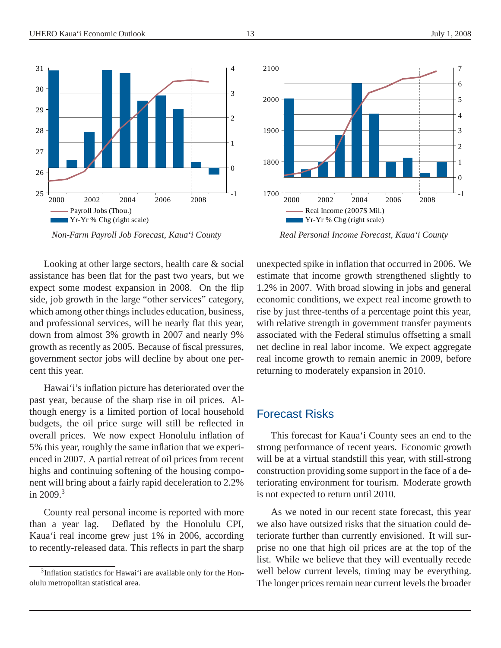

*Non-Farm Payroll Job Forecast, Kaua'i County*

Looking at other large sectors, health care & social assistance has been flat for the past two years, but we expect some modest expansion in 2008. On the flip side, job growth in the large "other services" category, which among other things includes education, business, and professional services, will be nearly flat this year, down from almost 3% growth in 2007 and nearly 9% growth as recently as 2005. Because of fiscal pressures, government sector jobs will decline by about one percent this year.

Hawai'i's inflation picture has deteriorated over the past year, because of the sharp rise in oil prices. Although energy is a limited portion of local household budgets, the oil price surge will still be reflected in overall prices. We now expect Honolulu inflation of 5% this year, roughly the same inflation that we experienced in 2007. A partial retreat of oil prices from recent highs and continuing softening of the housing component will bring about a fairly rapid deceleration to 2.2% in  $2009.<sup>3</sup>$ 

County real personal income is reported with more than a year lag. Deflated by the Honolulu CPI, Kaua'i real income grew just 1% in 2006, according to recently-released data. This reflects in part the sharp



*Real Personal Income Forecast, Kaua'i County*

unexpected spike in inflation that occurred in 2006. We estimate that income growth strengthened slightly to 1.2% in 2007. With broad slowing in jobs and general economic conditions, we expect real income growth to rise by just three-tenths of a percentage point this year, with relative strength in government transfer payments associated with the Federal stimulus offsetting a small net decline in real labor income. We expect aggregate real income growth to remain anemic in 2009, before returning to moderately expansion in 2010.

#### Forecast Risks

This forecast for Kaua'i County sees an end to the strong performance of recent years. Economic growth will be at a virtual standstill this year, with still-strong construction providing some support in the face of a deteriorating environment for tourism. Moderate growth is not expected to return until 2010.

As we noted in our recent state forecast, this year we also have outsized risks that the situation could deteriorate further than currently envisioned. It will surprise no one that high oil prices are at the top of the list. While we believe that they will eventually recede well below current levels, timing may be everything. The longer prices remain near current levels the broader

<sup>&</sup>lt;sup>3</sup>Inflation statistics for Hawai'i are available only for the Honolulu metropolitan statistical area.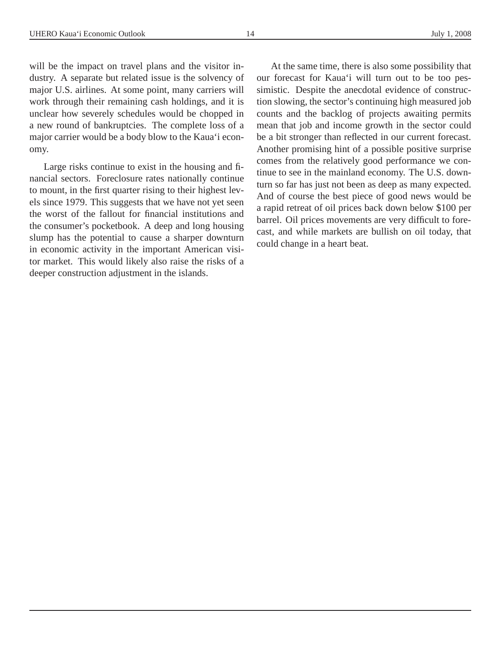will be the impact on travel plans and the visitor industry. A separate but related issue is the solvency of major U.S. airlines. At some point, many carriers will work through their remaining cash holdings, and it is unclear how severely schedules would be chopped in a new round of bankruptcies. The complete loss of a major carrier would be a body blow to the Kaua'i economy.

Large risks continue to exist in the housing and financial sectors. Foreclosure rates nationally continue to mount, in the first quarter rising to their highest levels since 1979. This suggests that we have not yet seen the worst of the fallout for financial institutions and the consumer's pocketbook. A deep and long housing slump has the potential to cause a sharper downturn in economic activity in the important American visitor market. This would likely also raise the risks of a deeper construction adjustment in the islands.

At the same time, there is also some possibility that our forecast for Kaua'i will turn out to be too pessimistic. Despite the anecdotal evidence of construction slowing, the sector's continuing high measured job counts and the backlog of projects awaiting permits mean that job and income growth in the sector could be a bit stronger than reflected in our current forecast. Another promising hint of a possible positive surprise comes from the relatively good performance we continue to see in the mainland economy. The U.S. downturn so far has just not been as deep as many expected. And of course the best piece of good news would be a rapid retreat of oil prices back down below \$100 per barrel. Oil prices movements are very difficult to forecast, and while markets are bullish on oil today, that could change in a heart beat.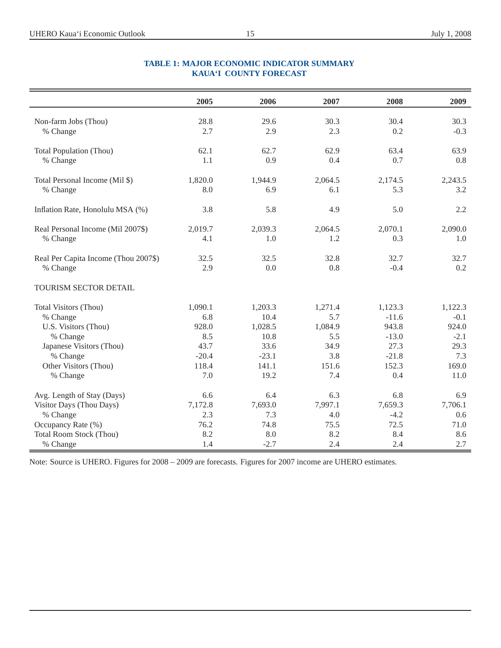|                                      | 2005    | 2006    | 2007    | 2008    | 2009    |
|--------------------------------------|---------|---------|---------|---------|---------|
|                                      |         |         |         |         |         |
| Non-farm Jobs (Thou)                 | 28.8    | 29.6    | 30.3    | 30.4    | 30.3    |
| % Change                             | 2.7     | 2.9     | 2.3     | 0.2     | $-0.3$  |
| <b>Total Population (Thou)</b>       | 62.1    | 62.7    | 62.9    | 63.4    | 63.9    |
| % Change                             | 1.1     | 0.9     | 0.4     | 0.7     | 0.8     |
| Total Personal Income (Mil \$)       | 1,820.0 | 1,944.9 | 2,064.5 | 2,174.5 | 2,243.5 |
| % Change                             | 8.0     | 6.9     | 6.1     | 5.3     | 3.2     |
| Inflation Rate, Honolulu MSA (%)     | 3.8     | 5.8     | 4.9     | 5.0     | 2.2     |
| Real Personal Income (Mil 2007\$)    | 2,019.7 | 2,039.3 | 2,064.5 | 2,070.1 | 2,090.0 |
| % Change                             | 4.1     | 1.0     | 1.2     | 0.3     | 1.0     |
|                                      |         |         |         |         |         |
| Real Per Capita Income (Thou 2007\$) | 32.5    | 32.5    | 32.8    | 32.7    | 32.7    |
| % Change                             | 2.9     | 0.0     | 0.8     | $-0.4$  | 0.2     |
| TOURISM SECTOR DETAIL                |         |         |         |         |         |
| Total Visitors (Thou)                | 1,090.1 | 1,203.3 | 1,271.4 | 1,123.3 | 1,122.3 |
| % Change                             | 6.8     | 10.4    | 5.7     | $-11.6$ | $-0.1$  |
| U.S. Visitors (Thou)                 | 928.0   | 1,028.5 | 1,084.9 | 943.8   | 924.0   |
| % Change                             | 8.5     | 10.8    | 5.5     | $-13.0$ | $-2.1$  |
| Japanese Visitors (Thou)             | 43.7    | 33.6    | 34.9    | 27.3    | 29.3    |
| % Change                             | $-20.4$ | $-23.1$ | 3.8     | $-21.8$ | 7.3     |
| Other Visitors (Thou)                | 118.4   | 141.1   | 151.6   | 152.3   | 169.0   |
| % Change                             | 7.0     | 19.2    | 7.4     | 0.4     | 11.0    |
| Avg. Length of Stay (Days)           | 6.6     | 6.4     | 6.3     | 6.8     | 6.9     |
| Visitor Days (Thou Days)             | 7,172.8 | 7,693.0 | 7,997.1 | 7,659.3 | 7,706.1 |
| % Change                             | 2.3     | 7.3     | 4.0     | $-4.2$  | 0.6     |
| Occupancy Rate (%)                   | 76.2    | 74.8    | 75.5    | 72.5    | 71.0    |
| <b>Total Room Stock (Thou)</b>       | 8.2     | 8.0     | 8.2     | 8.4     | 8.6     |
| % Change                             | 1.4     | $-2.7$  | 2.4     | 2.4     | 2.7     |

#### **TABLE 1: MAJOR ECONOMIC INDICATOR SUMMARY KAUA'I COUNTY FORECAST**

Note: Source is UHERO. Figures for 2008 – 2009 are forecasts. Figures for 2007 income are UHERO estimates.